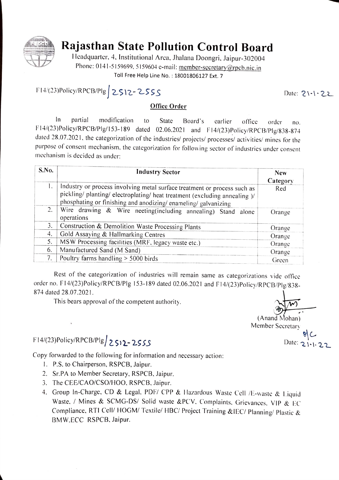

## Rajasthan State Pollution Control Board

Headquarter. 4. Institutional Area. Jhalana Doongri, Jaipur-302004 Phone: 0141-5159699, 5159604 e-mail: member-secretary@rpcb.nic.in<br>Toll Free Help Line No.: 18001806127 Ext. 7

F14/(23)Policy/RPCB/Plg 2S12-2SSS Date: 21-1-22

## Office Order

In partial modification to State Board's carlier office order no. F14/(23)Policy/RPCB/Plg/153-189 dated 02.06.2021 and F14/(23) Policy/RPCB/Plg/838-874 dated 28.07.2021. the categorization of the industries/ projects/ processes/ activities/ mines for the purpose of consent mechanism, the categorization for following sector of industries under consent mechanism is decided as under:

| S.No. | <b>Industry Sector</b>                                                                                                                                                                                                 | <b>New</b><br>Category |
|-------|------------------------------------------------------------------------------------------------------------------------------------------------------------------------------------------------------------------------|------------------------|
| Ι.    | Industry or process involving metal surface treatment or process such as<br>pickling/ planting/ electroplating/ heat treatment (excluding annealing )/<br>phosphating or finishing and anodizing/enameling/galvanizing | Red                    |
| 2.    | Wire drawing & Wire neeting(including annealing) Stand alone<br>operations                                                                                                                                             | Orange                 |
| 3.    | Construction & Demolition Waste Processing Plants                                                                                                                                                                      | Orange                 |
| 4.    | Gold Assaying & Hallmarking Centres                                                                                                                                                                                    | Orange                 |
| 5.    | MSW Processing facilities (MRF, legacy waste etc.)                                                                                                                                                                     | Orange                 |
| 6.    | Manufactured Sand (M Sand)                                                                                                                                                                                             | Orange                 |
| 7.    | Poultry farms handling $> 5000$ birds                                                                                                                                                                                  | Green                  |

Rest of the categorization of industries will remain same as categorizations vide office order no. F14/(23)Policy/RPCB/Plg 153-189 dated 02.06.2021 and F14/(23)Policy/RPCB/Plg/838-<br>874 dated 28.07.2021.

This bears approval of the competent authority

F14/(23)Policy/RPCB/Plg/ 2512-2555

Copy forwarded to the following for in formation and necessary action:

- .P.S. to Chairperson. RSPCB, Jaipur.
- 2. Sr.PA to Member Secretary, RSPCB. Jaipur.
- 
- 3. The CEE/CAO/CSO/HOO, RSPCB, Jaipur.<br>4. Group In-Charge, CD & Legal, PDF/ CPP & Hazardous Waste Cell /E-waste & Liquid Waste, / Mines & SCMG-DS/ Solid waste &PCV. Complaints. Grievances. VIP & EC Compliance. RTI Cell/ HOGM/ Textile/ HBC/ Project Training &IEC/ Planning/ Plastic & BMW.ECC RSPCB, Jaipur.

(Anand Mohan)

Member Secretary